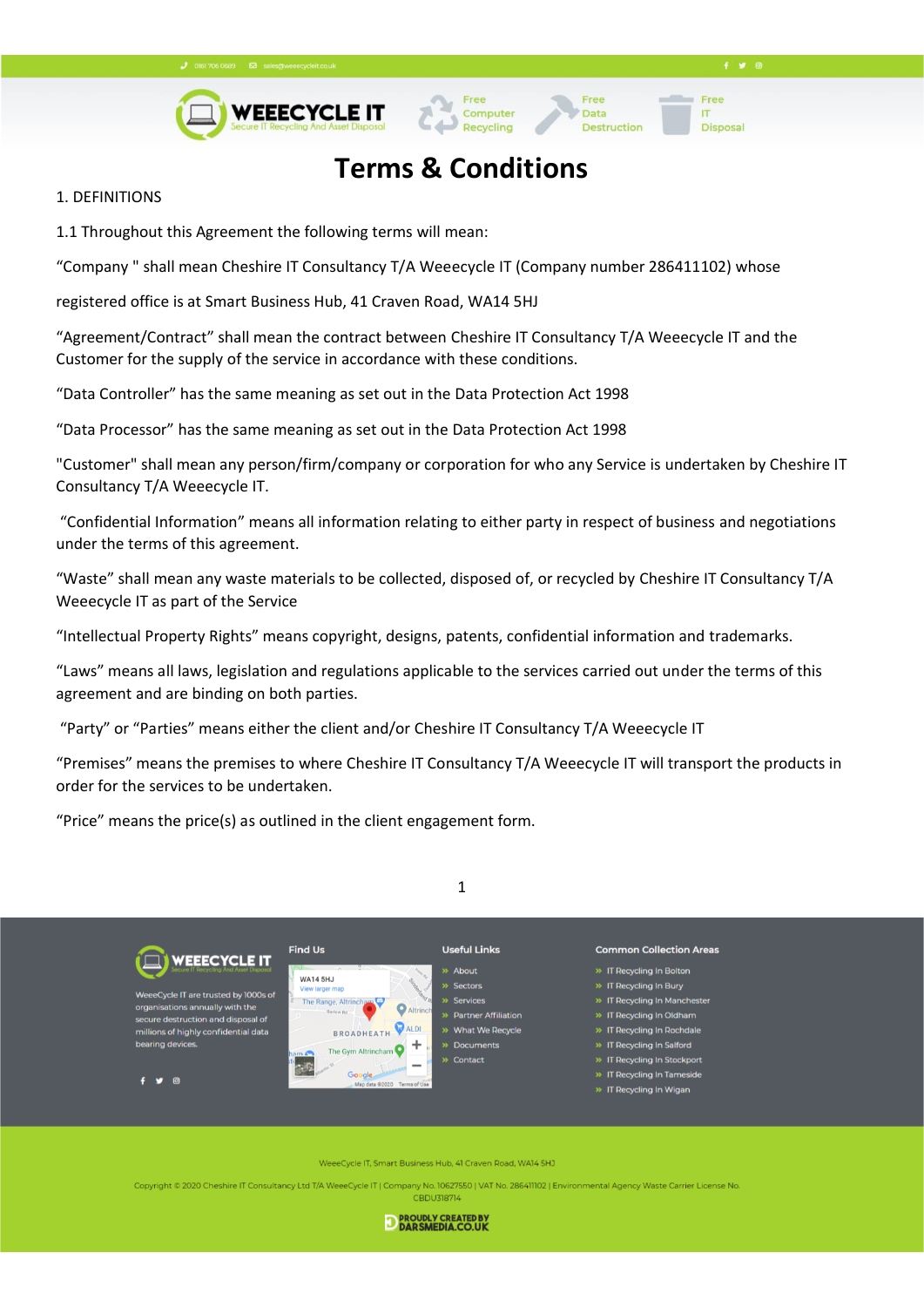



### **Terms & Conditions**

Data

Destruction

Free

**Disposa** 

IT

### 1. DEFINITIONS

1.1 Throughout this Agreement the following terms will mean:

"Company " shall mean Cheshire IT Consultancy T/A Weeecycle IT (Company number 286411102) whose

registered office is at Smart Business Hub, 41 Craven Road, WA14 5HJ

"Agreement/Contract" shall mean the contract between Cheshire IT Consultancy T/A Weeecycle IT and the Customer for the supply of the service in accordance with these conditions.

"Data Controller" has the same meaning as set out in the Data Protection Act 1998

"Data Processor" has the same meaning as set out in the Data Protection Act 1998

"Customer" shall mean any person/firm/company or corporation for who any Service is undertaken by Cheshire IT Consultancy T/A Weeecycle IT.

"Confidential Information" means all information relating to either party in respect of business and negotiations under the terms of this agreement.

"Waste" shall mean any waste materials to be collected, disposed of, or recycled by Cheshire IT Consultancy T/A Weeecycle IT as part of the Service

"Intellectual Property Rights" means copyright, designs, patents, confidential information and trademarks.

"Laws" means all laws, legislation and regulations applicable to the services carried out under the terms of this agreement and are binding on both parties.

"Party" or "Parties" means either the client and/or Cheshire IT Consultancy T/A Weeecycle IT

"Premises" means the premises to where Cheshire IT Consultancy T/A Weeecycle IT will transport the products in order for the services to be undertaken.

"Price" means the price(s) as outlined in the client engagement form.





eCycle IT, Smart Business Hub, 41 Craven Road, WA14 5HJ

Copyright © 2020 Cheshire IT Consultancy Ltd T/A WeeeCycle IT | Company No. 10627550 | VAT No. 286411102 | Environmental Agency Waste Carrier License No **CBDU318714** 

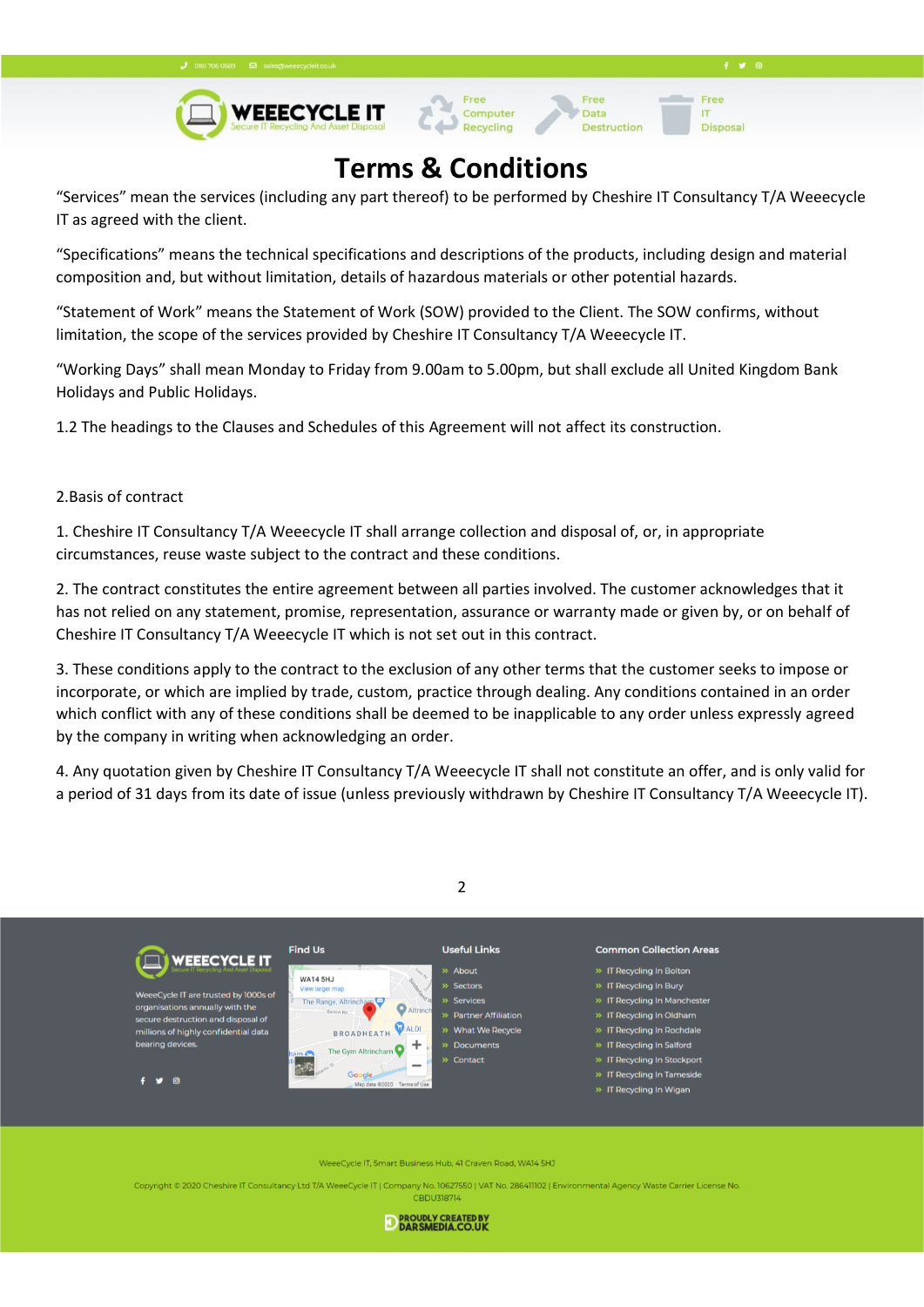**Disposa** 

IT





## **Terms & Conditions**

"Services" mean the services (including any part thereof) to be performed by Cheshire IT Consultancy T/A Weeecycle IT as agreed with the client.

"Specifications" means the technical specifications and descriptions of the products, including design and material composition and, but without limitation, details of hazardous materials or other potential hazards.

"Statement of Work" means the Statement of Work (SOW) provided to the Client. The SOW confirms, without limitation, the scope of the services provided by Cheshire IT Consultancy T/A Weeecycle IT.

"Working Days" shall mean Monday to Friday from 9.00am to 5.00pm, but shall exclude all United Kingdom Bank Holidays and Public Holidays.

1.2 The headings to the Clauses and Schedules of this Agreement will not affect its construction.

### 2.Basis of contract

1. Cheshire IT Consultancy T/A Weeecycle IT shall arrange collection and disposal of, or, in appropriate circumstances, reuse waste subject to the contract and these conditions.

2. The contract constitutes the entire agreement between all parties involved. The customer acknowledges that it has not relied on any statement, promise, representation, assurance or warranty made or given by, or on behalf of Cheshire IT Consultancy T/A Weeecycle IT which is not set out in this contract.

3. These conditions apply to the contract to the exclusion of any other terms that the customer seeks to impose or incorporate, or which are implied by trade, custom, practice through dealing. Any conditions contained in an order which conflict with any of these conditions shall be deemed to be inapplicable to any order unless expressly agreed by the company in writing when acknowledging an order.

4. Any quotation given by Cheshire IT Consultancy T/A Weeecycle IT shall not constitute an offer, and is only valid for a period of 31 days from its date of issue (unless previously withdrawn by Cheshire IT Consultancy T/A Weeecycle IT).





eCycle IT, Smart Business Hub, 41 Craven Road, WA14 5HJ

Copyright © 2020 Cheshire IT Consultancy Ltd T/A WeeeCycle IT | Company No. 10627550 | VAT No. 286411102 | Environmental Agency Waste Carrier License No CBDU318714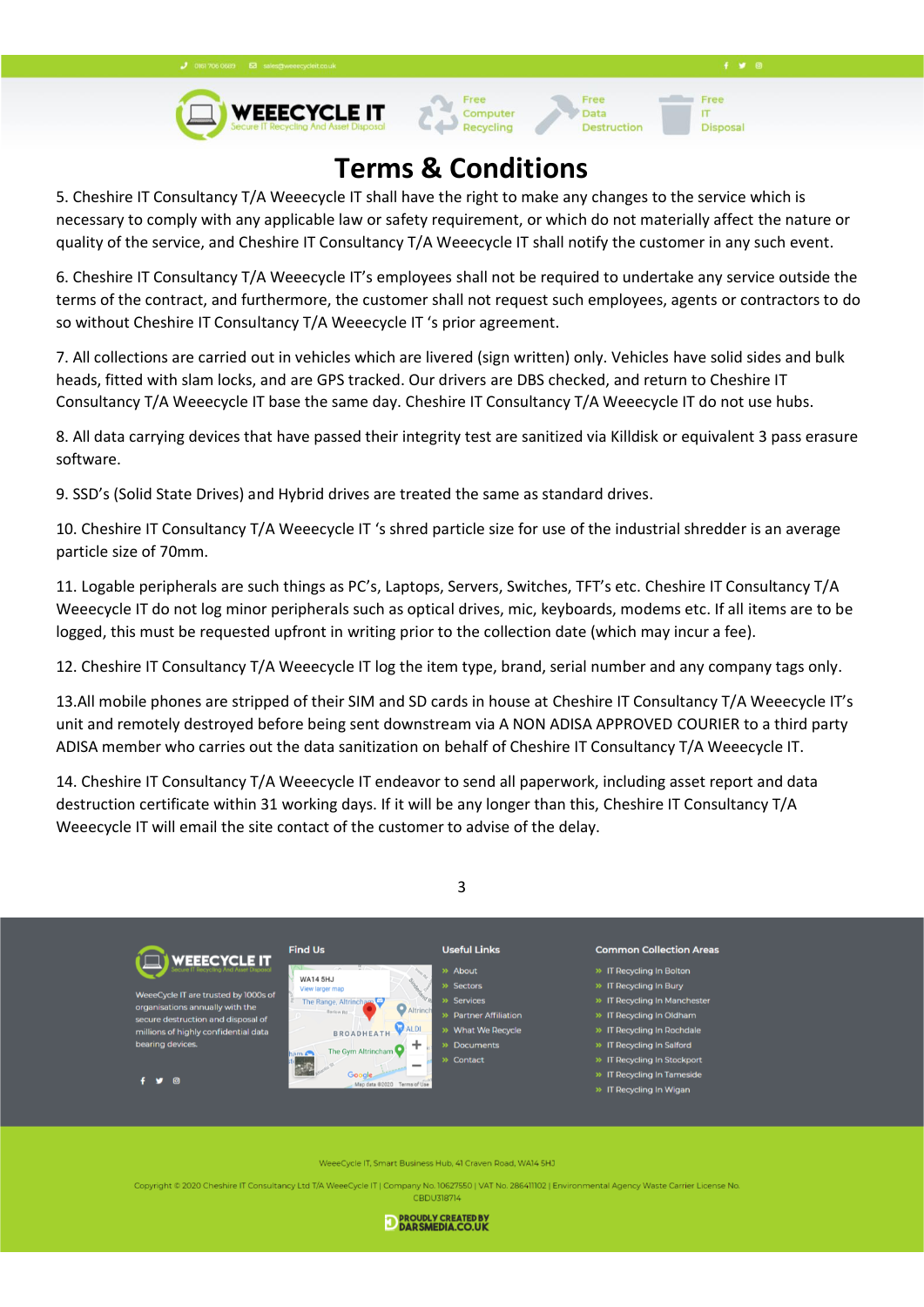**Disposa** 

IT





Data

**Destruction** 

## **Terms & Conditions**

5. Cheshire IT Consultancy T/A Weeecycle IT shall have the right to make any changes to the service which is necessary to comply with any applicable law or safety requirement, or which do not materially affect the nature or quality of the service, and Cheshire IT Consultancy T/A Weeecycle IT shall notify the customer in any such event.

6. Cheshire IT Consultancy T/A Weeecycle IT's employees shall not be required to undertake any service outside the terms of the contract, and furthermore, the customer shall not request such employees, agents or contractors to do so without Cheshire IT Consultancy T/A Weeecycle IT 's prior agreement.

7. All collections are carried out in vehicles which are livered (sign written) only. Vehicles have solid sides and bulk heads, fitted with slam locks, and are GPS tracked. Our drivers are DBS checked, and return to Cheshire IT Consultancy T/A Weeecycle IT base the same day. Cheshire IT Consultancy T/A Weeecycle IT do not use hubs.

8. All data carrying devices that have passed their integrity test are sanitized via Killdisk or equivalent 3 pass erasure software.

9. SSD's (Solid State Drives) and Hybrid drives are treated the same as standard drives.

10. Cheshire IT Consultancy T/A Weeecycle IT 's shred particle size for use of the industrial shredder is an average particle size of 70mm.

11. Logable peripherals are such things as PC's, Laptops, Servers, Switches, TFT's etc. Cheshire IT Consultancy T/A Weeecycle IT do not log minor peripherals such as optical drives, mic, keyboards, modems etc. If all items are to be logged, this must be requested upfront in writing prior to the collection date (which may incur a fee).

12. Cheshire IT Consultancy T/A Weeecycle IT log the item type, brand, serial number and any company tags only.

13.All mobile phones are stripped of their SIM and SD cards in house at Cheshire IT Consultancy T/A Weeecycle IT's unit and remotely destroyed before being sent downstream via A NON ADISA APPROVED COURIER to a third party ADISA member who carries out the data sanitization on behalf of Cheshire IT Consultancy T/A Weeecycle IT.

14. Cheshire IT Consultancy T/A Weeecycle IT endeavor to send all paperwork, including asset report and data destruction certificate within 31 working days. If it will be any longer than this, Cheshire IT Consultancy T/A Weeecycle IT will email the site contact of the customer to advise of the delay.





eeCycle IT, Smart Business Hub, 41 Craven Road, WA14 5HJ

Copyright © 2020 Cheshire IT Consultancy Ltd T/A WeeeCycle IT | Company No. 10627550 | VAT No. 286411102 | Environmental Agency Waste Carrier License No CBDU318714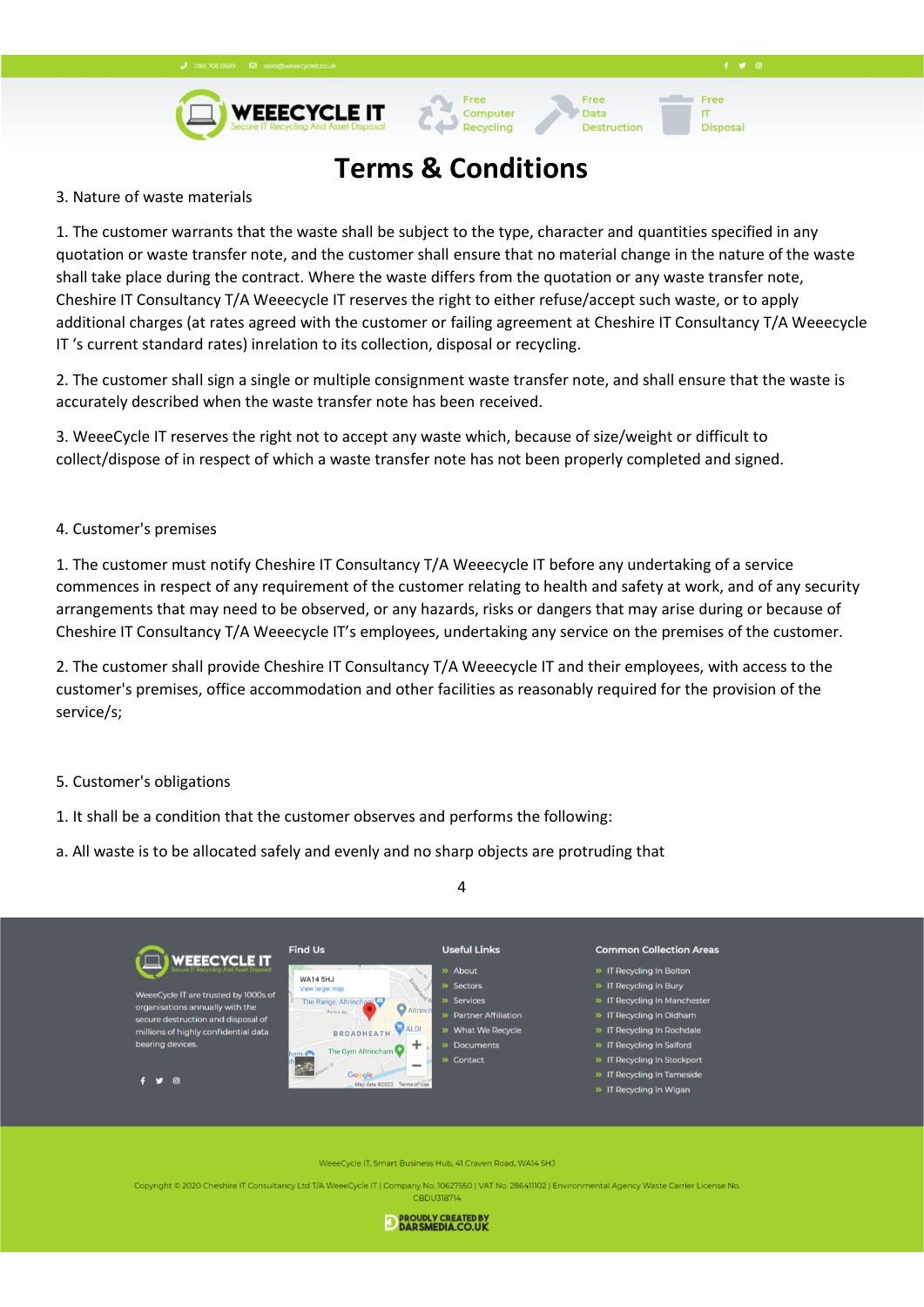



**Disposa** 

IT

## **Terms & Conditions**

Computer

Recycling

Data

Destruction

### 3. Nature of waste materials

1. The customer warrants that the waste shall be subject to the type, character and quantities specified in any quotation or waste transfer note, and the customer shall ensure that no material change in the nature of the waste shall take place during the contract. Where the waste differs from the quotation or any waste transfer note, Cheshire IT Consultancy T/A Weeecycle IT reserves the right to either refuse/accept such waste, or to apply additional charges (at rates agreed with the customer or failing agreement at Cheshire IT Consultancy T/A Weeecycle IT 's current standard rates) inrelation to its collection, disposal or recycling.

2. The customer shall sign a single or multiple consignment waste transfer note, and shall ensure that the waste is accurately described when the waste transfer note has been received.

3. WeeeCycle IT reserves the right not to accept any waste which, because of size/weight or difficult to collect/dispose of in respect of which a waste transfer note has not been properly completed and signed.

### 4. Customer's premises

1. The customer must notify Cheshire IT Consultancy T/A Weeecycle IT before any undertaking of a service commences in respect of any requirement of the customer relating to health and safety at work, and of any security arrangements that may need to be observed, or any hazards, risks or dangers that may arise during or because of Cheshire IT Consultancy T/A Weeecycle IT's employees, undertaking any service on the premises of the customer.

2. The customer shall provide Cheshire IT Consultancy T/A Weeecycle IT and their employees, with access to the customer's premises, office accommodation and other facilities as reasonably required for the provision of the service/s;

### 5. Customer's obligations

- 1. It shall be a condition that the customer observes and performs the following:
- a. All waste is to be allocated safely and evenly and no sharp objects are protruding that



4

eeCycle IT, Smart Business Hub, 41 Craven Road, WA14 5HJ

Copyright © 2020 Cheshire IT Consultancy Ltd T/A WeeeCycle IT | Company No. 10627550 | VAT No. 286411102 | Environmental Agency Waste Carrier License No **CBDU318714**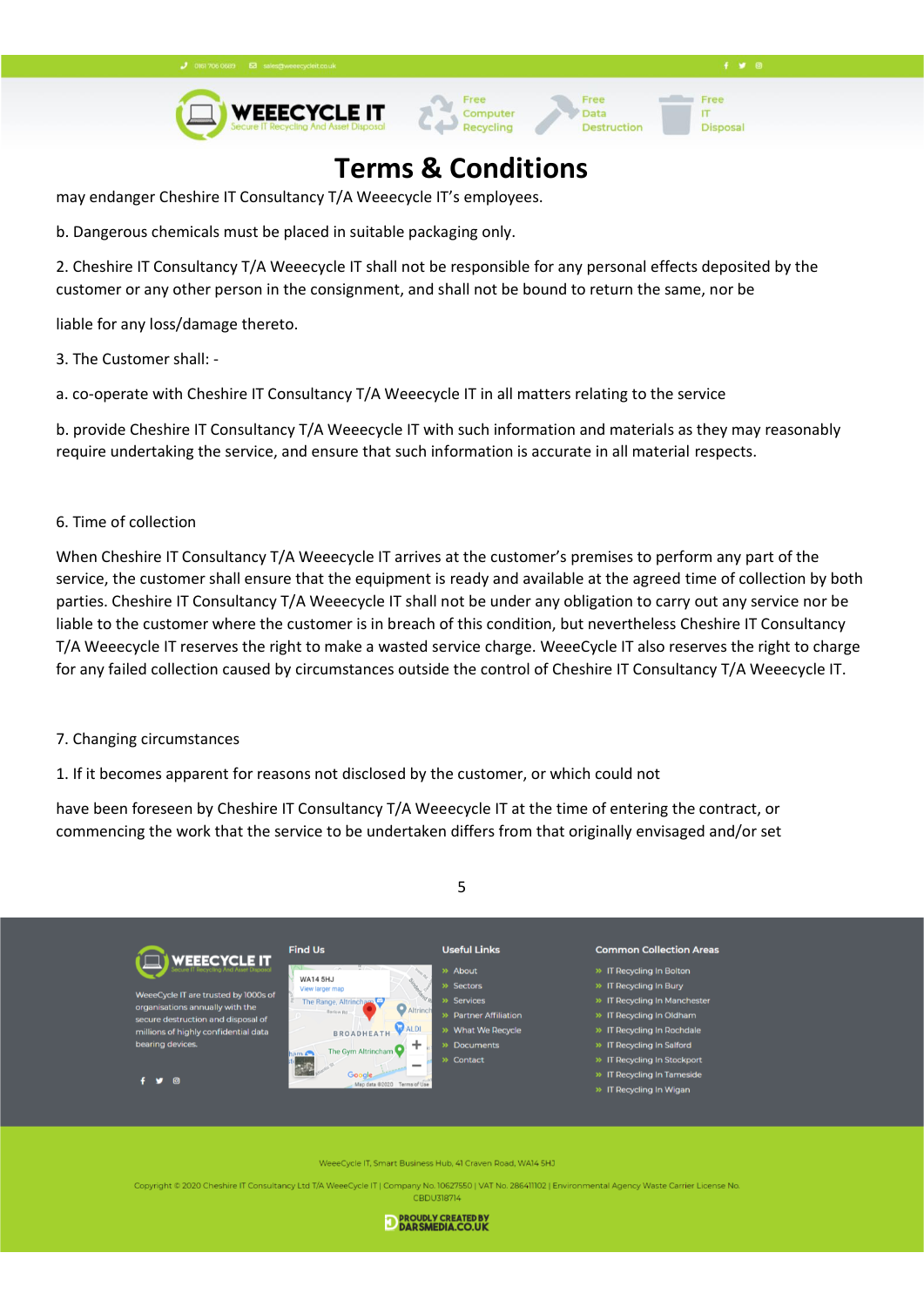**Disposa** 

IT

Data

**Destruction** 



### **Terms & Conditions**

may endanger Cheshire IT Consultancy T/A Weeecycle IT's employees.

b. Dangerous chemicals must be placed in suitable packaging only.

2. Cheshire IT Consultancy T/A Weeecycle IT shall not be responsible for any personal effects deposited by the customer or any other person in the consignment, and shall not be bound to return the same, nor be

liable for any loss/damage thereto.

3. The Customer shall: -

a. co-operate with Cheshire IT Consultancy T/A Weeecycle IT in all matters relating to the service

b. provide Cheshire IT Consultancy T/A Weeecycle IT with such information and materials as they may reasonably require undertaking the service, and ensure that such information is accurate in all material respects.

### 6. Time of collection

When Cheshire IT Consultancy T/A Weeecycle IT arrives at the customer's premises to perform any part of the service, the customer shall ensure that the equipment is ready and available at the agreed time of collection by both parties. Cheshire IT Consultancy T/A Weeecycle IT shall not be under any obligation to carry out any service nor be liable to the customer where the customer is in breach of this condition, but nevertheless Cheshire IT Consultancy T/A Weeecycle IT reserves the right to make a wasted service charge. WeeeCycle IT also reserves the right to charge for any failed collection caused by circumstances outside the control of Cheshire IT Consultancy T/A Weeecycle IT.

#### 7. Changing circumstances

1. If it becomes apparent for reasons not disclosed by the customer, or which could not

have been foreseen by Cheshire IT Consultancy T/A Weeecycle IT at the time of entering the contract, or commencing the work that the service to be undertaken differs from that originally envisaged and/or set



5

eeCycle IT, Smart Business Hub, 41 Craven Road, WA14 5HJ

Copyright © 2020 Cheshire IT Consultancy Ltd T/A WeeeCycle IT | Company No. 10627550 | VAT No. 286411102 | Environmental Agency Waste Carrier License No **CBDU318714**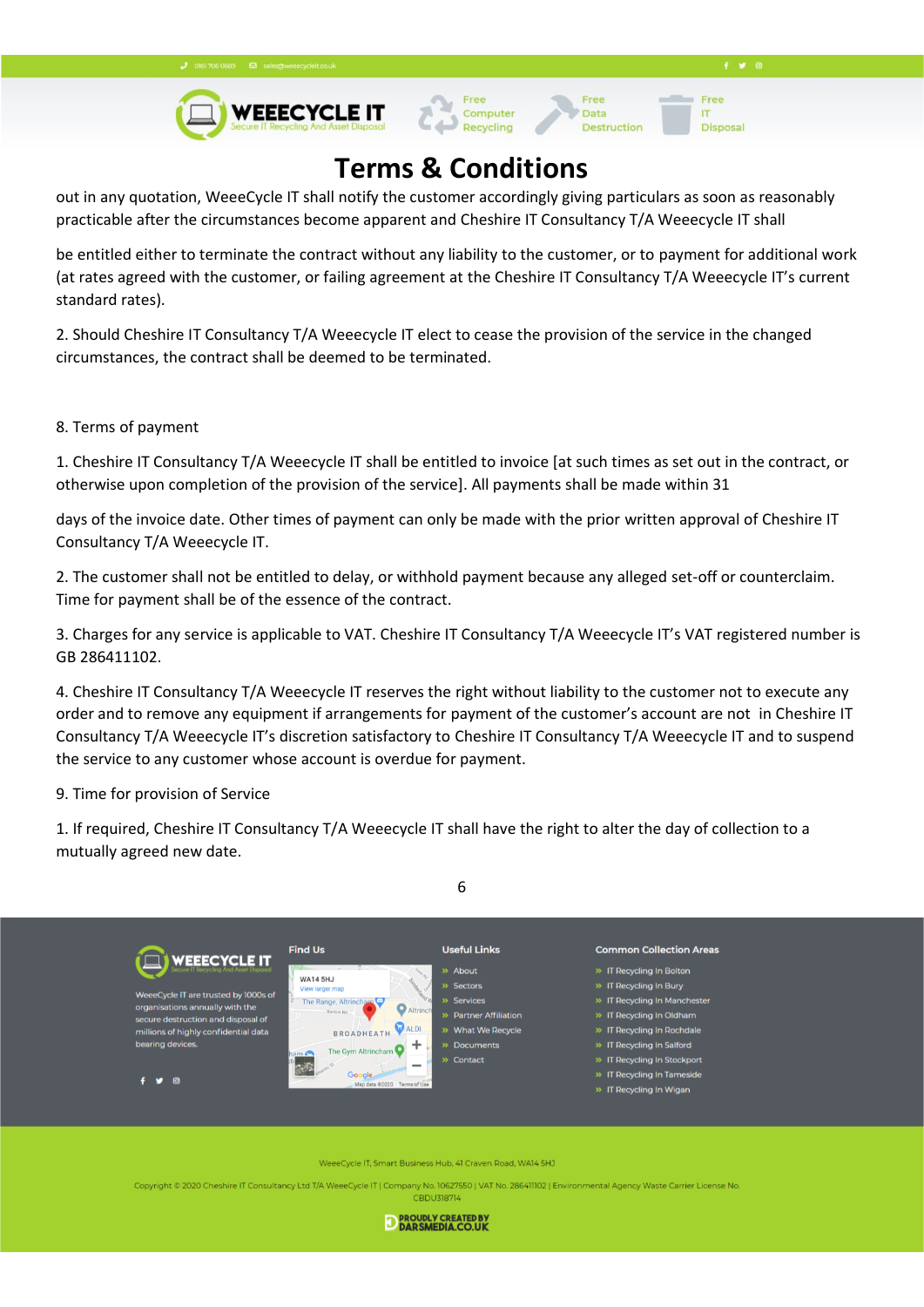**Disposa** 

IT

Data

**Destruction** 



## **Terms & Conditions**

out in any quotation, WeeeCycle IT shall notify the customer accordingly giving particulars as soon as reasonably practicable after the circumstances become apparent and Cheshire IT Consultancy T/A Weeecycle IT shall

be entitled either to terminate the contract without any liability to the customer, or to payment for additional work (at rates agreed with the customer, or failing agreement at the Cheshire IT Consultancy T/A Weeecycle IT's current standard rates).

2. Should Cheshire IT Consultancy T/A Weeecycle IT elect to cease the provision of the service in the changed circumstances, the contract shall be deemed to be terminated.

### 8. Terms of payment

1. Cheshire IT Consultancy T/A Weeecycle IT shall be entitled to invoice [at such times as set out in the contract, or otherwise upon completion of the provision of the service]. All payments shall be made within 31

days of the invoice date. Other times of payment can only be made with the prior written approval of Cheshire IT Consultancy T/A Weeecycle IT.

2. The customer shall not be entitled to delay, or withhold payment because any alleged set-off or counterclaim. Time for payment shall be of the essence of the contract.

3. Charges for any service is applicable to VAT. Cheshire IT Consultancy T/A Weeecycle IT's VAT registered number is GB 286411102.

4. Cheshire IT Consultancy T/A Weeecycle IT reserves the right without liability to the customer not to execute any order and to remove any equipment if arrangements for payment of the customer's account are not in Cheshire IT Consultancy T/A Weeecycle IT's discretion satisfactory to Cheshire IT Consultancy T/A Weeecycle IT and to suspend the service to any customer whose account is overdue for payment.

9. Time for provision of Service

1. If required, Cheshire IT Consultancy T/A Weeecycle IT shall have the right to alter the day of collection to a mutually agreed new date.

6



eeCycle IT, Smart Business Hub, 41 Craven Road, WA14 5HJ

Copyright © 2020 Cheshire IT Consultancy Ltd T/A WeeeCycle IT | Company No. 10627550 | VAT No. 286411102 | Environmental Agency Waste Carrier License No **CBDU318714** 

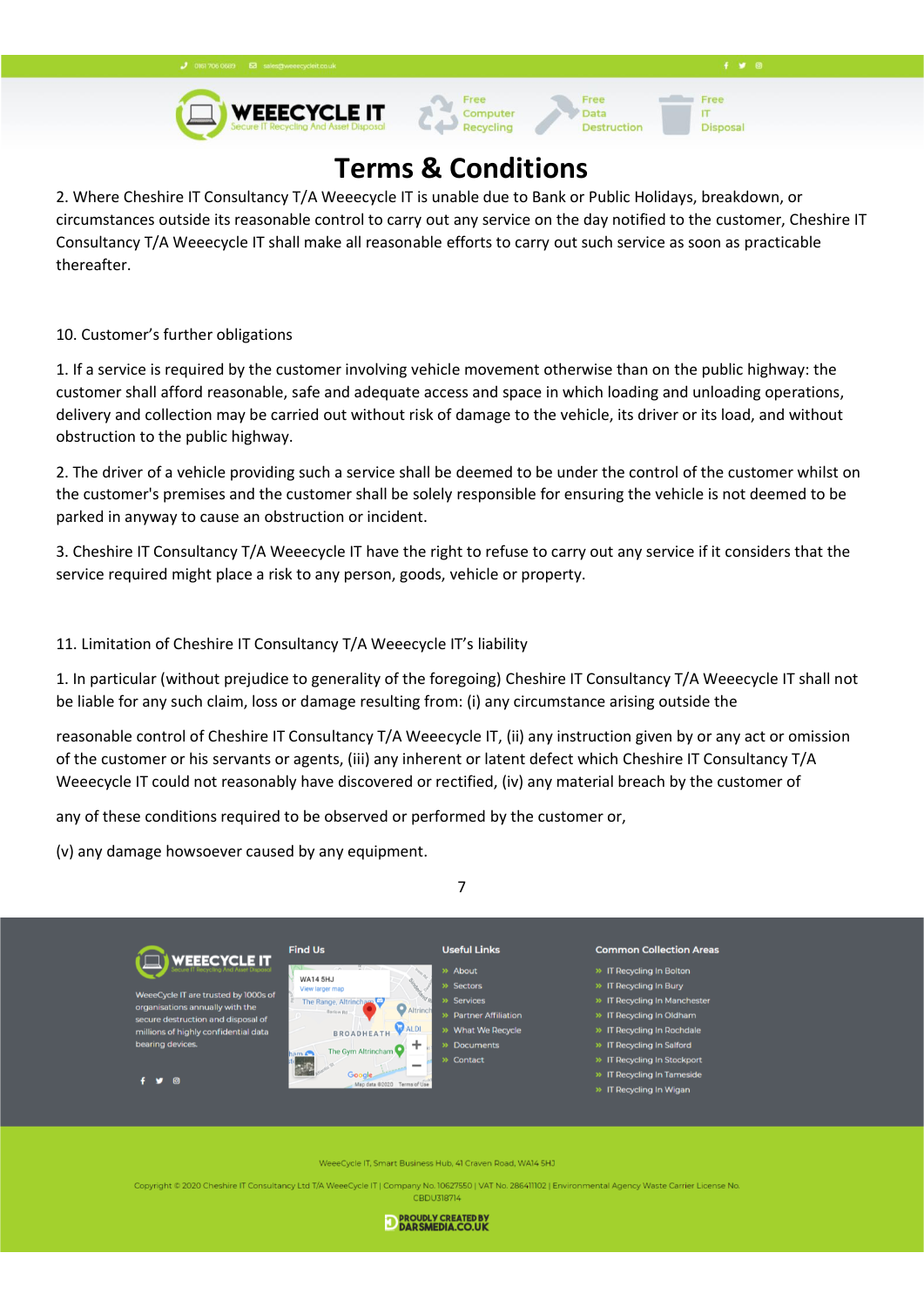**WEEECYCLE IT** 

Free

**Disposa** 

IT



# **Terms & Conditions**

Computer

Data

**Destruction** 

2. Where Cheshire IT Consultancy T/A Weeecycle IT is unable due to Bank or Public Holidays, breakdown, or circumstances outside its reasonable control to carry out any service on the day notified to the customer, Cheshire IT Consultancy T/A Weeecycle IT shall make all reasonable efforts to carry out such service as soon as practicable thereafter.

10. Customer's further obligations

1. If a service is required by the customer involving vehicle movement otherwise than on the public highway: the customer shall afford reasonable, safe and adequate access and space in which loading and unloading operations, delivery and collection may be carried out without risk of damage to the vehicle, its driver or its load, and without obstruction to the public highway.

2. The driver of a vehicle providing such a service shall be deemed to be under the control of the customer whilst on the customer's premises and the customer shall be solely responsible for ensuring the vehicle is not deemed to be parked in anyway to cause an obstruction or incident.

3. Cheshire IT Consultancy T/A Weeecycle IT have the right to refuse to carry out any service if it considers that the service required might place a risk to any person, goods, vehicle or property.

### 11. Limitation of Cheshire IT Consultancy T/A Weeecycle IT's liability

1. In particular (without prejudice to generality of the foregoing) Cheshire IT Consultancy T/A Weeecycle IT shall not be liable for any such claim, loss or damage resulting from: (i) any circumstance arising outside the

reasonable control of Cheshire IT Consultancy T/A Weeecycle IT, (ii) any instruction given by or any act or omission of the customer or his servants or agents, (iii) any inherent or latent defect which Cheshire IT Consultancy T/A Weeecycle IT could not reasonably have discovered or rectified, (iv) any material breach by the customer of

any of these conditions required to be observed or performed by the customer or,

(v) any damage howsoever caused by any equipment.



| <b>WEEECYCLE IT</b>                                                                                           | <b>Find Us</b>                                  | <b>Useful Links</b>   | <b>Common Collection Areas</b> |
|---------------------------------------------------------------------------------------------------------------|-------------------------------------------------|-----------------------|--------------------------------|
|                                                                                                               | $\frac{1}{2}$ $\sqrt{2}$<br><b>WA14 5HJ</b>     | » About               | » IT Recycling In Bolton       |
|                                                                                                               | View larger map                                 | » Sectors             | >> IT Recycling In Bury        |
| WeeeCycle IT are trusted by 1000s of<br>organisations annually with the<br>secure destruction and disposal of | The Range, Altrincham<br>Altrinch<br>Barlow Rd. | » Services            | >> IT Recycling In Manchester  |
|                                                                                                               |                                                 | » Partner Affiliation | >> IT Recycling In Oldham      |
| millions of highly confidential data                                                                          | <b>D</b> ALDI<br><b>BROADHEATH</b>              | >> What We Recycle    | >> IT Recycling In Rochdale    |
| bearing devices.                                                                                              | The Gym Altrincham<br>ham A                     | » Documents           | >> IT Recycling In Salford     |
|                                                                                                               | $\overline{\phantom{a}}$                        | » Contact             | >> IT Recycling In Stockport   |
| $\cdot$<br>෧                                                                                                  | Google.                                         |                       | >> IT Recycling In Tameside    |
|                                                                                                               | Map data @2020 Terms of Use                     |                       | >> IT Recycling In Wigan       |
|                                                                                                               |                                                 |                       |                                |

e IT, Smart Business Hub, 41 Craven Road, WA14 5HJ

Copyright © 2020 Cheshire IT Consultancy Ltd T/A WeeeCycle IT | Company No. 10627550 | VAT No. 286411102 | Environmental Agency Waste Carrier License No CBDU318714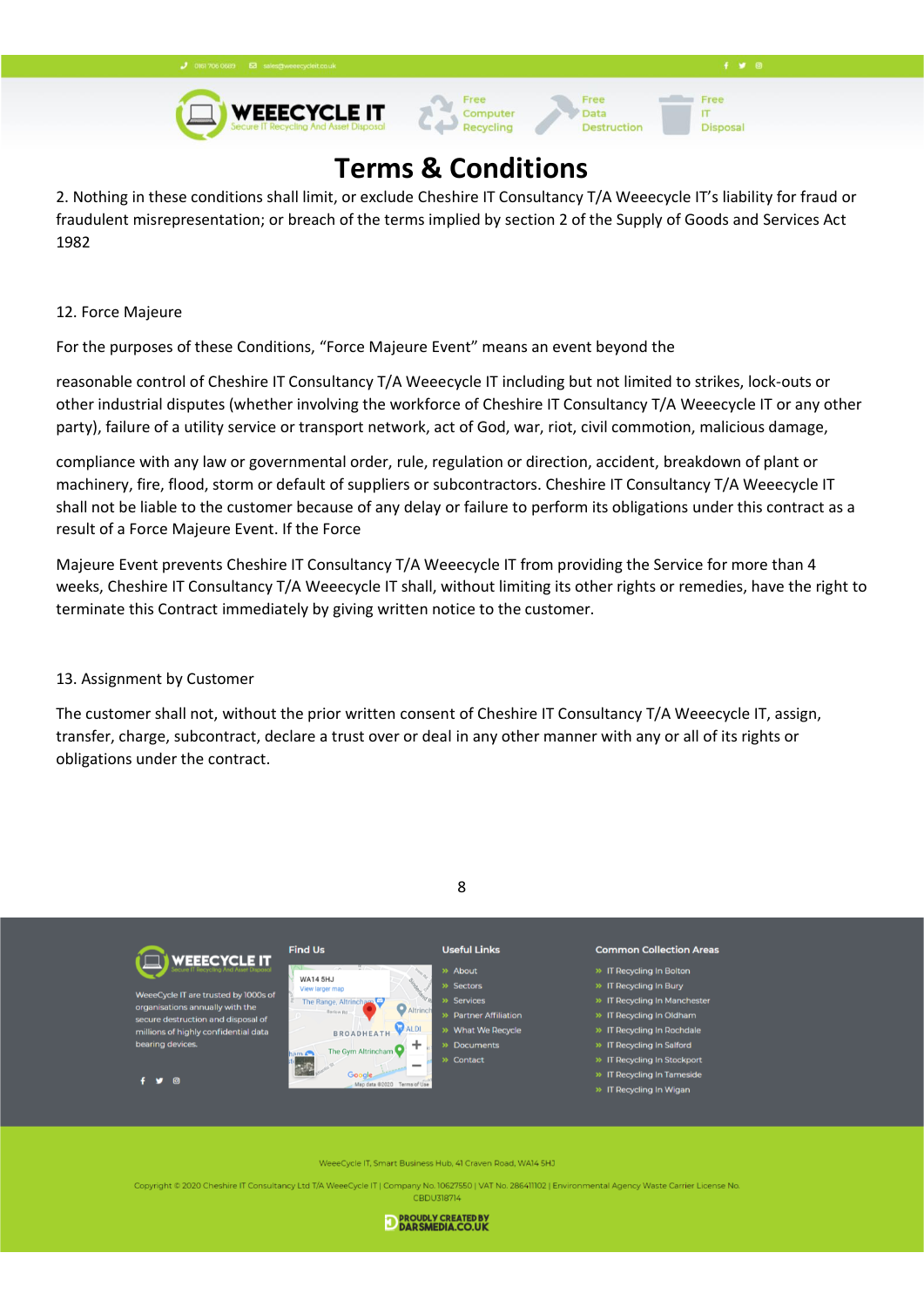**WEEECYCLE IT** 



Data

**Destruction** 

Free

**Disposa** 

IT

# **Terms & Conditions**

2. Nothing in these conditions shall limit, or exclude Cheshire IT Consultancy T/A Weeecycle IT's liability for fraud or fraudulent misrepresentation; or breach of the terms implied by section 2 of the Supply of Goods and Services Act 1982

### 12. Force Majeure

For the purposes of these Conditions, "Force Majeure Event" means an event beyond the

reasonable control of Cheshire IT Consultancy T/A Weeecycle IT including but not limited to strikes, lock-outs or other industrial disputes (whether involving the workforce of Cheshire IT Consultancy T/A Weeecycle IT or any other party), failure of a utility service or transport network, act of God, war, riot, civil commotion, malicious damage,

compliance with any law or governmental order, rule, regulation or direction, accident, breakdown of plant or machinery, fire, flood, storm or default of suppliers or subcontractors. Cheshire IT Consultancy T/A Weeecycle IT shall not be liable to the customer because of any delay or failure to perform its obligations under this contract as a result of a Force Majeure Event. If the Force

Majeure Event prevents Cheshire IT Consultancy T/A Weeecycle IT from providing the Service for more than 4 weeks, Cheshire IT Consultancy T/A Weeecycle IT shall, without limiting its other rights or remedies, have the right to terminate this Contract immediately by giving written notice to the customer.

### 13. Assignment by Customer

The customer shall not, without the prior written consent of Cheshire IT Consultancy T/A Weeecycle IT, assign, transfer, charge, subcontract, declare a trust over or deal in any other manner with any or all of its rights or obligations under the contract.





eeCycle IT, Smart Business Hub, 41 Craven Road, WA14 5HJ

Copyright © 2020 Cheshire IT Consultancy Ltd T/A WeeeCycle IT | Company No. 10627550 | VAT No. 286411102 | Environmental Agency Waste Carrier License No CBDU318714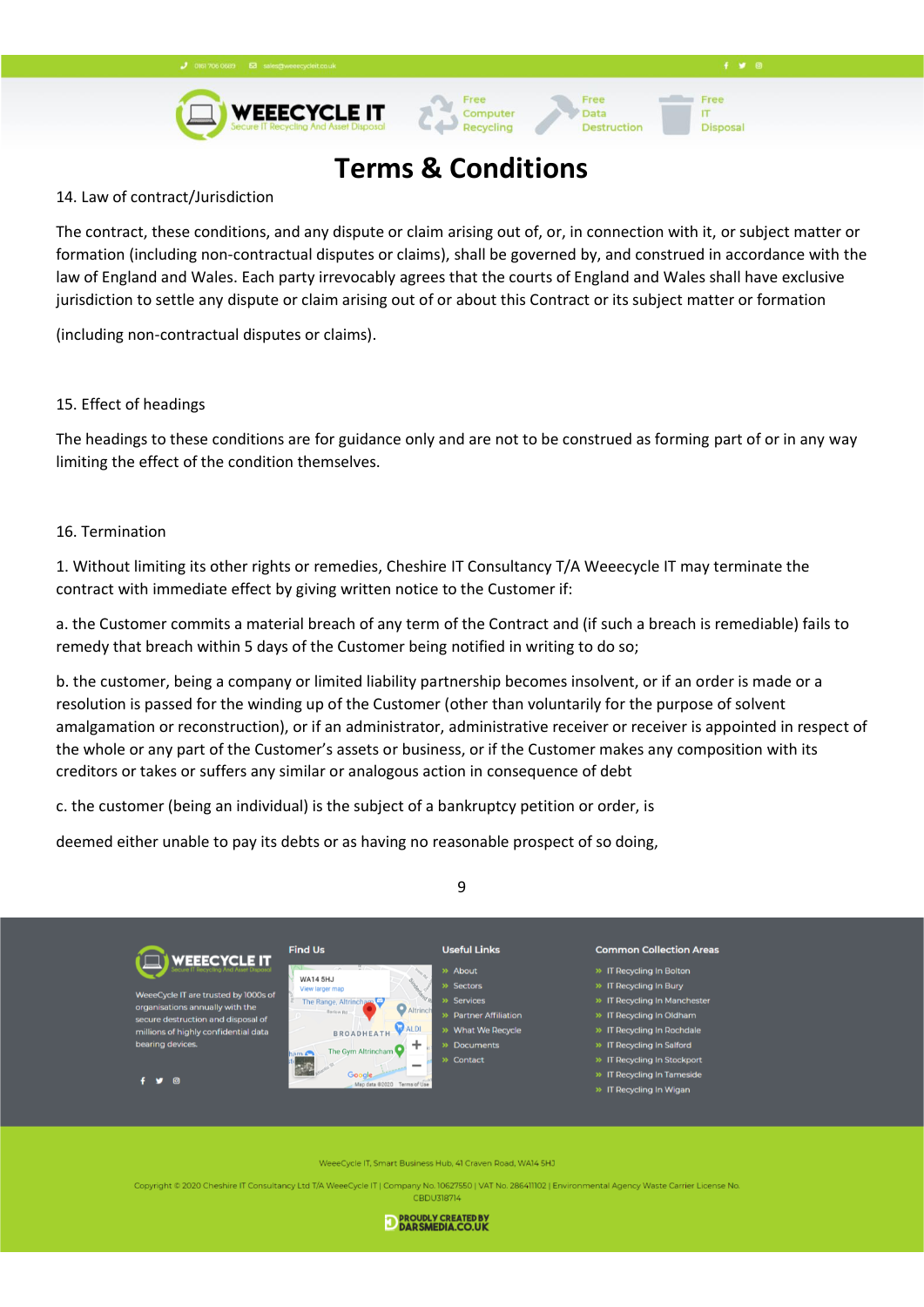**WEEECYCLE IT** 

Free

**Disposa** 

IT

# **Terms & Conditions**

Computer

Recycling

Data

**Destruction** 

#### 14. Law of contract/Jurisdiction

The contract, these conditions, and any dispute or claim arising out of, or, in connection with it, or subject matter or formation (including non-contractual disputes or claims), shall be governed by, and construed in accordance with the law of England and Wales. Each party irrevocably agrees that the courts of England and Wales shall have exclusive jurisdiction to settle any dispute or claim arising out of or about this Contract or its subject matter or formation

(including non-contractual disputes or claims).

#### 15. Effect of headings

The headings to these conditions are for guidance only and are not to be construed as forming part of or in any way limiting the effect of the condition themselves.

#### 16. Termination

1. Without limiting its other rights or remedies, Cheshire IT Consultancy T/A Weeecycle IT may terminate the contract with immediate effect by giving written notice to the Customer if:

a. the Customer commits a material breach of any term of the Contract and (if such a breach is remediable) fails to remedy that breach within 5 days of the Customer being notified in writing to do so;

b. the customer, being a company or limited liability partnership becomes insolvent, or if an order is made or a resolution is passed for the winding up of the Customer (other than voluntarily for the purpose of solvent amalgamation or reconstruction), or if an administrator, administrative receiver or receiver is appointed in respect of the whole or any part of the Customer's assets or business, or if the Customer makes any composition with its creditors or takes or suffers any similar or analogous action in consequence of debt

c. the customer (being an individual) is the subject of a bankruptcy petition or order, is

deemed either unable to pay its debts or as having no reasonable prospect of so doing,



eeCycle IT, Smart Business Hub, 41 Craven Road, WA14 5HJ

Copyright © 2020 Cheshire IT Consultancy Ltd T/A WeeeCycle IT | Company No. 10627550 | VAT No. 286411102 | Environmental Agency Waste Carrier License No **CBDU318714** 



### 9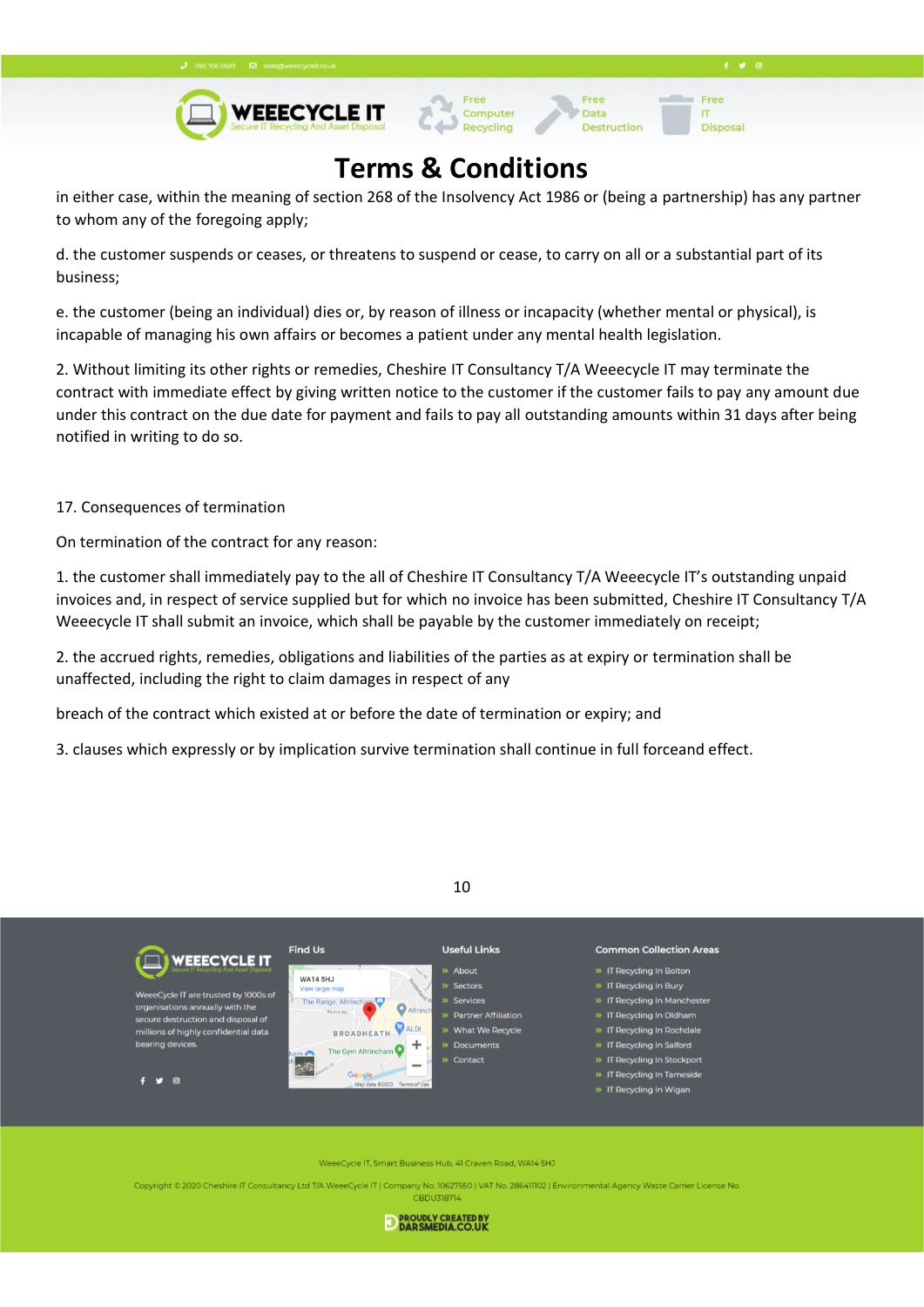



## **Terms & Conditions**

in either case, within the meaning of section 268 of the Insolvency Act 1986 or (being a partnership) has any partner to whom any of the foregoing apply;

d. the customer suspends or ceases, or threatens to suspend or cease, to carry on all or a substantial part of its business;

e. the customer (being an individual) dies or, by reason of illness or incapacity (whether mental or physical), is incapable of managing his own affairs or becomes a patient under any mental health legislation.

2. Without limiting its other rights or remedies, Cheshire IT Consultancy T/A Weeecycle IT may terminate the contract with immediate effect by giving written notice to the customer if the customer fails to pay any amount due under this contract on the due date for payment and fails to pay all outstanding amounts within 31 days after being notified in writing to do so.

17. Consequences of termination

On termination of the contract for any reason:

1. the customer shall immediately pay to the all of Cheshire IT Consultancy T/A Weeecycle IT's outstanding unpaid invoices and, in respect of service supplied but for which no invoice has been submitted, Cheshire IT Consultancy T/A Weeecycle IT shall submit an invoice, which shall be payable by the customer immediately on receipt;

2. the accrued rights, remedies, obligations and liabilities of the parties as at expiry or termination shall be unaffected, including the right to claim damages in respect of any

breach of the contract which existed at or before the date of termination or expiry; and

3. clauses which expressly or by implication survive termination shall continue in full forceand effect.





eCycle IT, Smart Business Hub, 41 Craven Road, WA14 5HJ

Copyright © 2020 Cheshire IT Consultancy Ltd T/A WeeeCycle IT | Company No. 10627550 | VAT No. 286411102 | Environmental Agency Waste Carrier License No **CBDU318714**